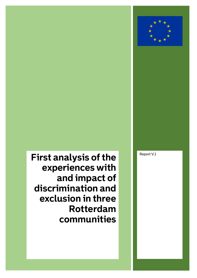# **Report V.1**

**First analysis of the experiences with and impact of discrimination and exclusion in three Rotterdam communities**

First analysis of the experiences with and impact of discrimination and exclusion in three Rotterdam

First analysis of the experiences with and impact of discrimination and exclusion in three Rotterdam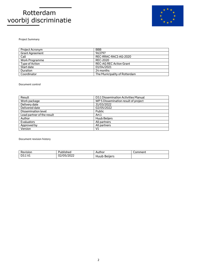

Project Summary

| Project Acronym        | <b>BBB</b>                     |  |
|------------------------|--------------------------------|--|
| <b>Grant Agreement</b> | 963797                         |  |
| Call                   | REC-RRAC-RACI-AG-2020          |  |
| Work Programme         | REC-2020                       |  |
| Type of Action         | <b>REC-AG REC Action Grant</b> |  |
| Start date             | 01/04/2021                     |  |
| <b>Duration</b>        | 24 months                      |  |
| Coordinator            | The Municipality of Rotterdam  |  |

#### Document control

| Result                     | D3.1 Dissemination Activities Manual |  |
|----------------------------|--------------------------------------|--|
| Work package               | WP 5 Dissemination result of project |  |
| Delivery date              | 31/03/2022                           |  |
| Delivered date             | 02/05/2022                           |  |
| Dissemination level        | Public                               |  |
| Lead partner of the result | Art.1                                |  |
| Author                     | Huub Beijers                         |  |
| Evaluators                 | All partners                         |  |
| Approved by                | All partners                         |  |
| Version                    | V1                                   |  |

Document revision history

| $\mathbf{r}$<br>Revision | งเารทed<br>ייוט⊾                        | Author          | າmment |
|--------------------------|-----------------------------------------|-----------------|--------|
| D3.1 V1                  | 1222<br>$\sim$<br>ריו<br>VULICU'<br>◡∠៸ | Bellers<br>Huub |        |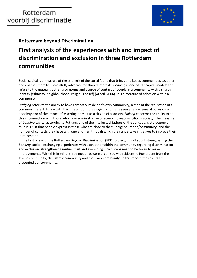

**Rotterdam beyond Discrimination**

# **First analysis of the experiences with and impact of discrimination and exclusion in three Rotterdam communities**

Social capital is a measure of the strength of the social fabric that brings and keeps communities together and enables them to successfully advocate for shared interests. *Bonding* is one of its ' capital modes' and refers to the mutual trust, shared norms and degree of contact of people in a community with a shared identity (ethnicity, neighbourhood, religious belief) (Arneil, 2006). It is a measure of cohesion within a community.

*Bridging* refers to the ability to have contact outside one's own community, aimed at the realisation of a common interest. In line with this, the amount of *bridging 'capital'* is seen as a measure of cohesion within a society and of the impact of asserting oneself as a citizen of a society. *Linking* concerns the ability to do this in connection with those who have administrative or economic responsibility in society. The measure of *bonding* capital according to Putnam, one of the intellectual fathers of the concept, is the degree of mutual trust that people express in those who are close to them (neighbourhood/community) and the number of contacts they have with one another, through which they undertake initiatives to improve their joint position.

In the first phase of the Rotterdam Beyond Discrimination (RBD) project, it is all about strengthening the *bonding* capital: exchanging experiences with each other within the community regarding discrimination and exclusion, strengthening mutual trust and examining which steps need to be taken to make improvements. With this in mind, three meetings were organised with citizens fo Rotterdam from the Jewish community, the Islamic community and the Black community. In this report, the results are presented per community.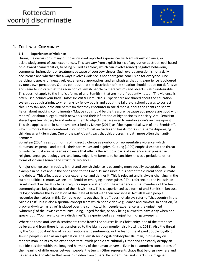

## **1. THE JEWISH COMMUNITY**

## **1.1. Experiences of violence**

During the discussions, many of those involved reported experiences with anti-Jewish violence, or acknowledgement of such experiences. This can vary from explicit forms of aggression at street level based on outward characteristics, to being bullied as a 'Jew', which can involve (direct) negative behaviour, comments, insinuations or treatment because of your Jewishness. Such overt aggression is not a daily occurrence and whether this always involves violence is not a foregone conclusion for everyone. One participant speaks of 'negatively experienced approaches' and emphasises that this experience is coloured by one's own perception. Others point out that the description of the situation should not be too defensive and seem to indicate that the reduction of Jewish people to mere victims and objects is also undesirable. This does not apply to the implicit forms of anti-Semitism that are more frequently noted: "The violence is often used behind your back" (also: De Wit & Fiere, 2021). Experiences are shared about the education system, about discriminatory remarks by fellow pupils and about the failure of school boards to correct this. They talk about the anti-Semitism that they encounter in social media, about the chants on sports fields, about mocking compliments ("Maybe you should be the treasurer because you people are good with money") or about alleged Jewish networks and their infiltration of higher circles in society. Anti-Semitism stereotypes Jewish people and reduces them to objects that are used to reinforce one's own viewpoint. This also applies to philo-Semitism, described by Drayer (2014) as "the hypocritical twin of anti-Semitism", which is more often encountered in orthodox Christian circles and has its roots in the same disparaging thinking as anti-Semitism. One of the participants says that this crosses his path more often than anti-Semitism.

Bornstein (2004) sees both forms of indirect violence as symbolic or representative violence, which dehumanises people and attacks their core values and dignity. Galtung (1990) emphasises that the threat of violence must also be seen as violence that affects the symbolic parts of existence as expressed in religion, language, ideology, art, and knowledge. Like Bornstein, he considers this as a prelude to other forms of violence (direct and structural violence).

A major change seen in society is that anti-Jewish violence is becoming more socially acceptable again, for example in politics and in the opposition to the Covid-19 measures: "It is part of the current social climate and debate. This affects us and our experience, and defines it. This is relevant and is always changing. In the current political climate, we see anti-Semitism emerging in new guises." The reference to the Palestinian-Israeli conflict in the Middle East requires separate attention. The experience is that members of the Jewish community are judged because of their Jewishness. This is experienced as a form of anti-Semitism, because its logic conflates the foundation of the State of Israel with their Jewishness. Not all Jewish people recognise themselves in this. Someone points out that "Israel" does not always refer to "that country in the Middle East", but is also a spiritual concept from which people derive guidance and comfort. In addition, "a black-and-white narrative" is placed over the conflict, which people experience as the unjustified 'whitening' of the Jewish community. Being judged for this, or only being allowed to have a say when one speaks out ("You have to carry a disclaimer"), is experienced as an unjust form of gatekeeping.

Where do these anti-Jewish sentiments come from? The sources lie in Christianity, one of the attendees believes, and from there it has transferred to the Islamic community (also Huttinga, 2018). Also the threat by the 'cosmopolitan' Jew of his own nationalistic sentiments, or the fear of the alleged double loyalty of Jewish people is seen as an explanation. The Jewish sociologist-philosopher Bauman, in his essay on modern man, points to the experience that Jewish people are culturally Other and constantly occupy an outside position within the imagined harmony of the human universe. Even in postmodern conceptions of the meaning of differences between people, the Jewish Other represents chaos that belongs nowhere and has access to knowledge that remains hidden from others. He undermines and infects this imagined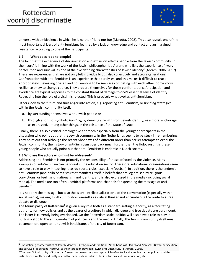

universe with ambivalence in which he is neither friend nor foe (Marotta, 2002). This also reveals one of the most important drivers of anti-Semitism: fear, fed by a lack of knowledge and contact and an ingrained resistance, according to one of the participants.

## **1.2 What does it do to people?**

The fact that the experience of discrimination and exclusion affects people from the Jewish community 'in their core' is in line with the work of the Jewish philosopher Ido Abram, who lists the experience of 'war, persecution and survival' as one of the five defining characteristics of Jewish identity<sup>1</sup> (Abram, 2006, 2017). These are experiences that are not only felt individually but also collectively and across generations. Confrontation with anti-Semitism is an experience that paralyses, and this makes it difficult to react appropriately. Revealing oneself and not wanting to be seen are competing with each other. Some show resilience or try to change course. They prepare themselves for these confrontations. Anticipation and avoidance are typical responses to the constant threat of damage to one's essential sense of identity. Retreating into the role of a victim is rejected. This is precisely what evokes anti-Semitism.

Others look to the future and turn anger into action, e.g. reporting anti-Semitism, or *bonding* strategies within the Jewish community itself,

- a. by surrounding themselves with Jewish people or
- b. through a form of symbolic *bonding*, by deriving strength from Jewish identity, as a moral anchorage, as expressed, among other things, in the existence of the State of Israel.

Finally, there is also a critical interrogative approach especially from the younger participants in the discussion who point out that the Jewish community in the Netherlands seems to be stuck in remembering. They point out that although the recent Shoah was of a different order than earlier attempts to expel the Jewish community, the history of anti-Semitism goes back much further than the Holocaust. It is these young people who actually point out that anti-Semitism is endemic in Dutch society.

## **1.3 Who are the actors who must be addressed?**

Addressing anti-Semitism is not primarily the responsibility of those affected by the violence. Many examples of anti-Semitism can be found in the education sector. Therefore, educational organisations seem to have a role to play in tackling it, as do sports clubs (especially football). In addition, there is the endemic anti-Semitism (and philo-Semitism) that manifests itself in beliefs that are legitimised by religious convictions, or feelings of nationalism and identity, and is also expressed in the media (including social media). The media are too often uncritical platforms and channels for spreading the message of anti-Semitism.

It is not only the message, but also the is anti-intellectualistic tone of the conversation (especially within social media), making it difficult to show oneself as a critical thinker and encumbering the route to a free debate or dialogue.

The Municipality of Rotterdam<sup>2</sup> is given a key role both as a standard-setting authority, as a facilitating authority for new policies and as the bearer of a culture in which dialogue and free debate are paramount. The latter is currently being overlooked. On the Rotterdam scale, politics will also have a role to play in putting a stop to the anti-Semitism of politicians and the media. Finally, the Jewish community itself must become more open to non-Jewish inhabitants of the city of Rotterdam.

<sup>&</sup>lt;sup>1</sup> Five defining characteristics of Jewish identity (1) religion and tradition; (2) the bond with Israel and Zionism; (3) war, persecution and survival; (4) personal history; (5) the interaction between Jewish and Dutch culture (Abram, 2006).

<sup>&</sup>lt;sup>2</sup> The term "Municipality of Rotterdam" seems to be used as a concept which refers to local admninistration, politics, and the institutions directly or indirectly related to them, such as public order institutions, culture, education, etc.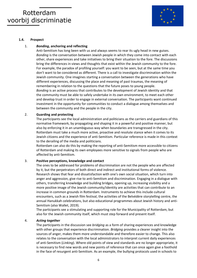

### **1.4. Prospect**

### 1. *Bonding***, anchoring and reflecting**

Anti-Semitism has long been with us and always seems to rear its ugly head in new guises. *Bonding* is the conversation between Jewish people in which they come into contact with each other, share experiences and take initiatives to bring their situation to the fore. The discussions bring the differences in views and thoughts that exist within the Jewish community to the fore. For example, the paradox of profiling yourself: you want to be seen, but at the same time you don't want to be considered as different. There is a call to investigate discrimination within the Jewish community. One imagines starting a conversation between the generations who have different experiences, discussing the place and meaning of past traumas, the meaning of remembering in relation to the questions that the future poses to young people. *Bonding* is an active process that contributes to the development of Jewish identity and that the community must be able to safely undertake in its own environment, to meet each other and develop trust in order to engage in external conversation. The participants want continued investment in the opportunity for communities to conduct a dialogue among themselves and between the community and the people in the city.

#### 2. **Guarding and protecting**

The participants see the local administration and politicians as the carriers and guardians of this normative framework, by propagating and shaping it in a powerful and positive manner, but also by enforcing it in an unambiguous way when boundaries are transgressed in the city. Rotterdam must take a much more active, proactive and resolute stance when it comes to its Jewish citizens and the experience of anti-Semitism. Particular reference is made in this context to the derailing of the media and politicians.

Rotterdam can also do this by making the reporting of anti-Semitism more accessible to citizens of Rotterdam and making its own employees more sensitive to signals from people who are affected by anti-Semitism.

### 3. **Positive perceptions, knowledge and contact**

The ones to be addressed for problems of discrimination are not the people who are affected by it, but the perpetrators of both direct and indirect and institutional forms of violence. Research shows that fear and dissatisfaction with one's own social situation, which turn into anger and aggression, give rise to anti-Semitism and discrimination. Engaging in a dialogue with others, transferring knowledge and building bridges, opening up, increasing visibility and a more positive image of the Jewish community/identity are activities that can contribute to an increase in common grounds in Rotterdam. Instruments to achieve this include cultural encounters, such as a Jewish film festival, the activities of the Belvédère storytelling centre, the annual Hanukkah celebrations, but also educational programmes about Jewish history and anti-Semitism (also Wallet, 2019).

The participants see a stimulating and supporting role for the Municipality of Rotterdam, but also for the Jewish community itself, which must step forward and present itself.

#### 4. *Acting together*

The participants in the discussion see *bridging* as a form of sharing experiences and knowledge with other groups that experience discrimination. *Bridging* provides a clearer insight into the sources of anger, makes them more understandable and therefore easier to change. This also relates to the conversation with the local administrators to interpret current daily experiences of anti-Semitism (*Linking*). Where old points of view and standards are no longer appropriate, it is necessary to find new words and new points of reference that can once again give a foothold in the face of resurgent anti-Semitism. As an example, the bullying protocols used in schools to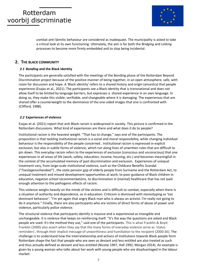

combat anti-Semitic behaviour are considered as inadequate. The municipality is asked to take a critical look at its own functioning. Ultimately, the aim is for both the *Bridging* and *Linking* processes to become more firmly embedded and to stop being incidental.

# **2. THE BLACK COMMUNITY**

## *2.1 Bonding* **and the Black identity**

The participants are generally satisfied with the meetings of the Bonding phase of the Rotterdam Beyond Discrimination project because of the positive manner of being together, in an open atmosphere, safe, with room for discussion and hope. A 'Black identity' refers to a shared history and origin (ancestry) that people experience (Esajas et al., 2021). The participants see a Black identity that is transnational and does not allow itself to be limited by language barriers, but expresses a shared experience in an own language. In doing so, they make this visible, verifiable, and changeable where it is damaging. The experiences that are shared offer a counterweight to the dominance of the one-sided images that one is confronted with (Clifford, 1988).

## *2.2* **Experiences of violence**

Esajas et al. (2021) report that anti-Black racism is widespread in society. This picture is confirmed in the Rotterdam discussions. What kind of experiences are there and what does it do to people?

Institutional racism is the heaviest weight. "That has to change," says one of the participants. The proposition is that tackling institutional racism is a social and moral responsibility, while changing individual behaviour is the responsibility of the people concerned . Institutional racism is expressed in explicit exclusion, but also in subtle forms of violence, which run along lines of unwritten rules that are difficult to pin down. This everyday racism refers to the experiences of exclusion (conscious and unconscious) that one experiences in all areas of life (work, safety, education, income, housing, etc.) and becomes meaningfull in the context of the accumulated memory of past discrimination and exclusion. Experiences of unequal treatment vary, from large-scale institutional violence, such as the Childcare Benefits Scandal ("*Toeslagenschandaal"*) , the state pension gap of elderly people from Suriname and the Rotterdam Act, to unequal treatment and missed development opportunities at work, to poor guidance of Black children in education, negative school recommendations, to discrimination in (mental) healthcare that has not paid enough attention to the pathogenic effects of racism.

This violence weighs heavily on the minds of the victims and is difficult to combat, especially when there is a situation of authority and dependence, as in education. Criticism is dismissed with stereotyping as 'too dominant behavour': "I'm yet again that angry Black man who is always an activist. I'm really not going to do it anymore." Finally, there are also participants who are victims of direct forms of abuse of power and violence, particularly police violence.

The structural violence that participants identify is massive and is experienced as intangible and unchangeable. It is violence that keeps on reinforcing itself. "It's the way the questions are asked and Black people are used. It's the method they use," said one of the participants. This is what Franklin & Boyd-Franklin (2000) also assert when they say that the many forms of everyday violence serve as 'status reminders', through their implicit message of unworthiness and humiliation to the recipient (2000:36). The challenge is to understand how the interrelationship and actions of institutions towards Black people form Rotterdam shape the fact that people who are seen as deviant and less entitled are also treated as such and thus actually defined as deviant and less entitled (Nicolai 1997, Hall 1992, Morgan 2014). An example is given by a young woman who talks about her work with young people who are disadvantaged in the labour market: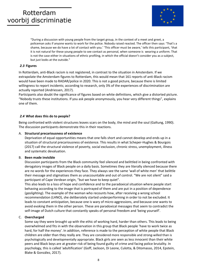

"During a discussion with young people from the target group, in the context of a meet and greet, a policeman asks if anyone wants to work for the police. Nobody raised reacted. The officer then says: 'That's a shame, because we do have a lot of contact with you.' 'This officer must be aware,' tells this participant, 'that it is not natural for these young people to see contact as personal, when someone is wearing a uniform. That is not the case either in situations of ethnic profiling, in which the official doesn't consider you as a subject, but just looks at the outside."

### *2.3* **Figures**

In Rotterdam, anti-Black racism is not registered, in contrast to the situation in Amsterdam. If we extrapolate the Amsterdam figures to Rotterdam, this would mean that 161 reports of anti-Black racism would have been made to RADAR/police in 2020. This is not a good picture, because there is limited willingness to report incidents; according to research, only 3% of the experiences of discrimination are actually reported (Andriessen, 2017).

Participants also doubt the significance of figures based on white definitions, which give a distorted picture. "Nobody trusts these institutions. If you ask people anonymously, you hear very different things", explains one of them.

### *2.4* **What does this do to people?**

Being confronted with violent structures leaves scars on the body, the mind and the soul (Galtung, 1990). The discussion participants demonstrate this in their reactions.

### A. **Structural precariousness of existence**

Deprivation of equal opportunities means that one falls short and cannot develop and ends up in a situation of structural precariousness of existence. This results in what Scheper-Hughes & Bourgois (2017) call the structural violence of poverty, social exclusion, chronic stress, unemployment, illness and systematic devaluation.

### B. **Been made invisible**

Discussion participants from the Black community feel silenced and belittled in being confronted with derogatory images of Black people on a daily basis. Sometimes they are literally silenced because there are no words for the experiences they face. They always see the same 'wall of white men' that belittle their message and stigmatises them as unaccountable and out of control. "We are not silent" said a participant of Cape Verdean origin, "but we have to keep quiet".

This also leads to a loss of hope and confidence and to the paradoxical situation where people start behaving according to the image that is portrayed of them and are put in a position of dependence (*gaslighting*). The example of the woman who recounts how, after receiving a wrong school recommendation (LHNO), she deliberately started underperforming in order to not be excluded. It leads to constant anticipation, because one is wary of micro-aggressions, and because one wants to avoid evoking them in the other person. These are paradoxical messages that seem to contradict the self-image of Dutch culture that constantly speaks of personal freedom and 'being yourself'.

## C. **Overcharged**

Some say they were brought up with the ethic of working hard, harder than others. This leads to being overwhelmed and fits in with the observation in this group that Black people 'have to work twice as hard, for half the money'. In addition, reference is made to the perception of white people that Black children are older than they really are. They are considered more responsible and strong-willed than is psychologically and developmentally appropriate. Black girls are seen as less innocent than their white peers and Black boys are at greater risk of being found guilty of crime and facing police brutality. In psychology, this is called 'adultification' (Goff, Jackson, Di Leone, Culotta, & Ditomasso, 2014, Epstein, Blake & González, 2017).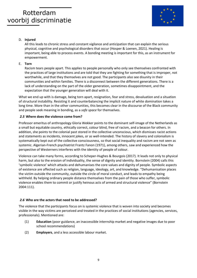

## D. **Injured**

All this leads to chronic stress and constant vigilance and anticipation that can explain the serious physical, cognitive and psychological disorders that occur (Hosper & Loenen, 2021). Healing is important, being able to process events. A bonding meeting is important for this, as an instrument for empowerment.

## E. **Torn**

Racism tears people apart. This applies to people personally who only see themselves confronted with the practices of large institutions and are told that they are fighting for something that is improper, not worthwhile, and that they themselves are not good. The participants also see disunity in their communities and within families. There is a disconnect between the different generations. There is a lack of understanding on the part of the older generation, sometimes disappointment, and the expectation that the younger generation will deal with it.

What we end up with is damage, being torn apart, resignation, fear and stress, devaluation and a situation of structural instability. Resisting it and counterbalancing the implicit nature of white domination takes a long time. More than in the other communities, this becomes clear in the discourse of the Black community and people seek meaning in bonding, as a *safe space* for themselves.

## *2.5* **Where does the violence come from?**

Professor emeritus of anthropology Gloria Wekker points to the dominant self-image of the Netherlands as a small but equitable country, ethically correct, colour blind, free of racism, and a beacon for others. In addition, she points to the colonial past stored in the collective unconscious, which dismisses racist actions and statements as incidents, innocent jokes, or as well-intended. The history of slavery and colonialism is systematically kept out of the collective consciousness, so that social inequality and racism are not seen as systemic. Algerian-French psychiatrist Frantz Fanon (1971), among others, saw and experienced how the perspective of Westerners interferes with the identity of people of colour.

Violence can take many forms, according to Scheper-Hughes & Bourgois (2017). It leads not only to physical harm, but also to the erosion of individuality, the sense of dignity and identity. Bornstein (2004) calls this 'symbolic violence' which attacks and dehumanises the core values and dignity of people. Symbolic aspects of existence are affected such as religion, language, ideology, art, and knowledge. "Dehumanisation places the victim outside the community, outside the circle of moral conduct, and leads to empathy being withheld. By helping ordinary people distance themselves from the pain of those who suffer, symbolic violence enables them to commit or justify heinous acts of armed and structural violence" (Bornstein 2004:111).

## *2.6* **Who are the actors that need to be addressed?**

The violence that the participants focus on is systemic violence that is woven into society and becomes visible in the way victims are perceived and treated in the practices of social institutions (agencies, services, professionals). Mentioned are:

- (1) **Education** (poor guidance, an inaccessible internship market and negative images due to poor school recommendations)
- (2) **Employers**, and a less accessible labour market.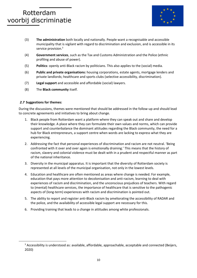

- (3) **The administration** both locally and nationally. People want a recognisable and accessible municipality that is vigilant with regard to discrimination and exclusion, and is accessible in its service provision.<sup>3</sup>
- (4) **Government services**, such as the Tax and Customs Administration and the Police (ethnic profiling and abuse of power).
- (5) **Politics**: openly anti-Black racism by politicians. This also applies to the (social) media.
- (6) **Public and private organisations:** housing corporations, estate agents, mortgage lenders and private landlords; healthcare and sports clubs (selective accessibility, discrimination).
- (7) **Legal support** and accessible and affordable (social) lawyers.
- (8) The **Black community** itself.

## *2.7* **Suggestions for themes:**

During the discussions, themes were mentioned that should be addressed in the follow-up and should lead to concrete agreements and initiatives to bring about change.

- 1. Black people from Rotterdam want a platform where they can speak out and share and develop their knowledge. A place where they can formulate their own values and norms, which can provide support and counterbalance the dominant attitudes regarding the Black community, the need for a hub for Black entrepreneurs, a support centre when words are lacking to express what they are experiencing.
- 2. Addressing the fact that personal experiences of discrimination and racism are not neutral. 'Being confronted with it over and over again is emotionally draining.' This means that the history of racism, slavery and colonial violence must be dealt with in a prudent and respectful manner as part of the national inheritance.
- 3. Diversity in the municipal apparatus. It is important that the diversity of Rotterdam society is represented at all levels of the municipal organisation, not only in the lowest levels.
- 4. Education and healthcare are often mentioned as areas where change is needed. For example, education that pays more attention to decolonisation and anti-racism, learning to deal with experiences of racism and discrimination, and the unconscious prejudices of teachers. With regard to (mental) healthcare services, the importance of healthcare that is sensitive to the pathogenic aspects of (long-term) experiences with racism and discrimination is pointed out.
- 5. The ability to report and register anti-Black racism by ameliorating the accessibility of RADAR and the police, and the availability of accessible legal support are necessary for this.
- 6. Providing training that leads to a change in attitudes among white professionals.

<sup>&</sup>lt;sup>3</sup> Accessibility is understood as: available, affordable, approachable, acceptable and connected (Beijers, 2020)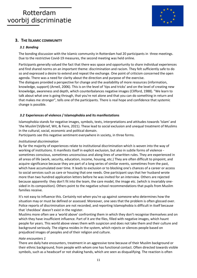

## **3. THE ISLAMIC COMMUNITY**

## *3.1 Bonding*

The bonding discussion with the Islamic community in Rotterdam had 20 participants in three meetings. Due to the restrictive Covid-19 measures, the second meeting was held online.

Participants generally valued the fact that there was space and opportunity to share individual experiences and find shared norms on an important theme: discrimination and racism. They felt sufficiently safe to do so and expressed a desire to extend and repeat the exchange. One point of criticism concerned the open agenda. There was a need for clarity about the direction and purpose of the exercise.

The dialogues provided a perspective for change and the availability of more resources (information, knowledge, support) (Arneil, 2006). This is on the level of 'tips and tricks' and on the level of creating new knowledge, awareness and depth, which counterbalances negative images (Clifford, 1988). "We learn to talk about what one is going through, that you're not alone and that you can do something in return and that makes me stronger", tells one of the participants. There is real hope and confidence that systemic change is possible.

## *3.2* **Experiences of violence / Islamophobia and its manifestations**

Islamophobia stands for negative images, symbols, texts, interpretations and attitudes towards 'Islam' and 'the Muslim'(Vijlbrief, Wit, & Fiere, 2021). These lead to social exclusion and unequal treatment of Muslims in the cultural, social, economic and political domain.

Participants see this negative sentiment everywhere in society, in three forms.

## *Institutional discrimination*

By far the majority of experiences relate to institutional discrimination which is woven into the way of working of institutions. It manifests itself in explicit exclusion, but also in subtle forms of violence sometimes conscious, sometimes unconscious and along lines of unwritten rules. They are experienced in all areas of life (work, security, education, income, housing, etc.) They are often difficult to pinpoint, and acquire significance because they are part of a long series of similar events, sometimes from the past, which have accumulated over time. It leads to exclusion or to blocking one's chances of a career or access to social services such as care or housing that one needs. One participant says that her husband wrote more than two hundred application letters before he was invited for an interview. Others are rejected because apparently they don't fit into the team, the care model, the image etc. (which is invariably onesided in its composition). Others point to the negative school recommendations that pupils from Muslim families receive.

It's not easy to influence this. Certainly not when you're up against someone who determines how the situation may or must be defined or assessed. Moreover, one sees that the problem is often glossed over. Police reports of discrimination are not recorded, and reporting Islamophobia is difficult in itself because that 'checkbox' doesn't exist in the register.

Muslims more often see a 'world above' confronting them in which they don't recognise themselves and on which they have insufficient influence. Part of it are the files, filled with negative images, which haunt people for years. This world above views them with suspicion and does not take them and their culture and background seriously. The stigma resides in the system, which rejects or silences people based on prejudiced images of peoples and of their religion and culture.

### *Hate encounters 1*

There are daily hate encounters, treatment in an aggressive tone because of their Muslim background or their ethnic background, from people with whom one has functional contact. Often directed towards visible symbols, such as a headscarf or not shaking hands, which are seen as disqualifying. The reaction is often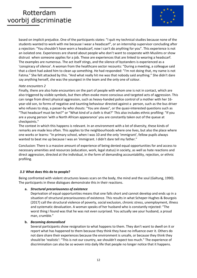

based on implicit prejudice. One of the participants states: "I quit my technical studies because none of the students wanted to work with me because I wear a headscarf", or an internship supervisor concluding after a rejection: "You shouldn't have worn a headscarf, now I can't do anything for you". This experience is not an isolated one. Experiences are shared about people who don't want to cooperate with Muslims or show distrust when someone applies for a job. These are experiences that are linked to wearing a headscarf. The examples are numerous. The act itself stings, and the silence of bystanders is experienced as a 'conspiracy of silence'. A woman from the healthcare sector recounts: "During a meeting, a colleague said that a client had asked him to clean up something. He had responded: "I'm not doing that, my name is not Fatma." She felt attacked by this. "And what really hit me was that nobody said anything." She didn't dare say anything herself, she was the youngest in the team and the only one of colour.

## *Hate encounters 2*

Finally, there are also hate encounters on the part of people with whom one is not in contact, which are also triggered by visible symbols, but then often evoke more conscious and targeted acts of aggression. This can range from direct physical aggression, such as heavy-handed police control of a mother with her 16 year-old son, to forms of negative and taunting behaviour directed against a person, such as the bus driver who refuses to stop, a passer-by who shouts: "You are slaves", or the quasi-interested questions such as "That headscarf must be hot?" or "What kind of a cloth is that?" This also includes ethnic profiling: "If you are a young person 'with a North African appearance' you are constantly taken out of the queue at checkpoints."

The context in which this happens is relevant. In an environment with a lot of diversity, these kinds of remarks are made less often. This applies to the neighbourhoods where one lives, but also the place where one works or learns: "In primary school, when I was 10 and the only 'immigrant', fellow pupils always wanted to beat me up because I was an 'immigrant. I didn't dare tell my father."

Conclusion: There is a massive amount of experience of being denied equal opportunities for and access to necessary amenities and resources (education, work, legal status) in society, as well as hate reactions and direct aggression, directed at the individual, in the form of demanding accountability, rejection, or ethnic profiling.

## *3.3* **What does this do to people?**

Being confronted with violent structures leaves scars on the body, the mind and the soul (Galtung, 1990). The participants in these dialogues demonstrate this in their reactions.

### **a.** *Structural precariousness of existence*

Deprivation of equal opportunities means that one falls short and cannot develop and ends up in a situation of structural precariousness of existence. This results in what Scheper-Hughes & Bourgois (2017) call the structural violence of poverty, social exclusion, chronic stress, unemployment, illness and systematic devaluation. A woman speaks of her husband who is constantly rejected: "The worst thing I found was that he was not even surprised. You actually see your husband, a proud man, crumble."

### **b.** *Becoming demoralised*

Several participants show resignation to what happens to them. They don't want to dwell on it or report what has happened to them because they think they have no influence over it. Others do not dare share their experiences because the environment is unsafe, or because they think they should be 'realistic': "This is not our country, we shouldn't expect too much." The experience of discrimination can also be so woven into daily life that people no longer notice that it happens.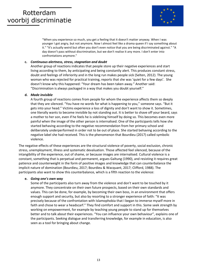

"When you experience so much, you get a feeling that it doesn't matter anyway. When I was younger I got angry, but not anymore. Now I almost feel like a drama queen if I say something about it." "It's actually weird but often you don't even notice that you are being discriminated against." "A day doesn't pass without discrimination, but we don't realise it any more. I don't enter into confrontations anymore."

### **c.** *Continuous alertness, stress, stagnation and doubt*

Another group of reactions indicates that people store up their negative experiences and start living according to them, by anticipating and being constantly alert. This produces constant stress, doubt and feelings of inferiority and in the long run makes people sick (Selten, 2012). The young woman who was rejected for practical training, reports that she was 'quiet for a few days'. She doesn't know why this happened: "Your dream has been taken away." Another said: "Discrimination is always packaged in a way that makes you doubt yourself."

### **d.** *Made invisible*

A fourth group of reactions comes from people for whom the experience affects them so deeply that they are silenced. "You have no words for what is happening to you," someone says. "But it gets into your head." Victims experience a loss of dignity and don't want to show it. Sometimes, one literally wants to become invisible by not standing out. It is better to shave off your beard, says a mother to her son, even if he feels he is sidelining himself by doing so. This becomes even more painful when the image of the other person is internalised. One of the participants tells how she started behaving according to the negative recommendation from her primary school and deliberately underperformed in order not to be out of place. She started behaving according to the negative label she had received. This is the phenomenon that Bourdieu (2017) called symbolic violence.

The negative effects of these experiences are the structural violence of poverty, social exclusion, chronic stress, unemployment, illness and systematic devaluation. Those affected feel silenced, because of the intangibility of the experience, out of shame, or because images are internalised. Cultural violence is a constant, something that is perpetual and permanent, argues Galtung (1990), and resisting it requires great patience and counterweight in the form of positive images and knowledge that can counterbalance the implicit nature of domination (Bourdieu, 2017; Bourdieu & Wacquant, 2017; Clifford, 1988). The participants also want to show this counterbalance, which is a fifth reaction to the violence:

### **e.** *Going one's own way*

Some of the participants also turn away from the violence and don't want to be touched by it anymore. They concentrate on their own future prospects, based on their own standards and values. This can be done, for example, by becoming their own boss, in an environment that offers enough support and security, but also by resorting to a stronger experience of faith: "It was precisely because of the confrontation with Islamophobia that I began to immerse myself more in faith and chose to wear a headscarf." They find comfort and support in this. Some seek strength by working on empowerment, for example by teaching young people to stand up for themselves better and to talk about their experiences. "You can influence your own behaviour", explains one of the participants. Seeking dialogue and transferring knowledge, for example in education, is also seen as a tool for bringing about change.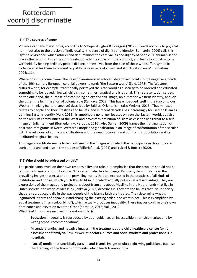

### *3.4* **The sources of anger**

Violence can take many forms, according to Scheper-Hughes & Bourgois (2017). It leads not only to physical harm, but also to the erosion of individuality, the sense of dignity and identity. Bornstein (2004) calls this 'symbolic violence' which attacks and dehumanises the core values and dignity of people. "Dehumanisation places the victim outside the community, outside the circle of moral conduct, and leads to empathy to be withheld. By helping ordinary people distance themselves from the pain of those who suffer, symbolic violence enables them to commit or justify heinous acts of armed and structural violence" (Bornstein 2004:111).

Where does this come from? The Palestinian-American scholar Edward Said points to the negative attitude of the 19th century European colonial powers towards 'the Eastern world' (Said, 1978). The Western cultural world, for example, traditionally portrayed the Arab world as a society to be ordered and educated, something to be judged, illogical, childish, sometimes fanatical and irrational. This representation served, on the one hand, the purpose of establishing an exalted self-image, an outlet for Western identity, and, on the other, the legitimisation of colonial rule (Çankaya, 2022). This has embedded itself in the (unconscious) Western thinking (cultural archive) described by Said as 'Orientalism' (also Wekker, 2016). That mindset relates to people and their lifestyles and beliefs, and in recent decades has increasingly focused on Islam as defining Eastern identity (Valk, 2012). Islamophobia no longer focuses only on the Eastern world, but also on the Muslim communities of the West and a Western definition of Islam as essentially a threat to a selfimage of Enlightenment (Bornedal, ny; Kerboua, 2016). Also Sunier (2009) frames the marginalisation of post-war immigrants in North-Western Europe and globalisation in an image of confrontation of the secular with the religious, of conflicting civilisations and the need to govern and control this population and its attributed religious beliefs.

This negative attitude seems to be confirmed in the images with which the participants in this study are confronted and and also in the studies of Vijlbrief et al. (2021) and Yuksel & Butter (2020).

### *3.5* **Who should be addressed on this?**

The participants dwell on their own responsibility and role, but emphasise that the problem should not be left to the Islamic community alone. 'The system' also has to change. By 'the system', they mean the prevailing images that exist and the prevailing norms that are expressed in the practices of all kinds of institutions and bodies, which you follow to fit in, but which actually put you at a disadvantage. They are expressions of the images and projections about Islam and about Muslims in the Netherlands that live in Dutch society, 'the world of ideas', as Çankaya (2022) describes it. They are the beliefs that live in society, that are reproduced daily in the way people of the Islamic faith are treated. They determine what is legitimised in terms of behaviour and changing the existing order, and what is not. This is exemplified by equal treatment ("I am colourblind"), which actually produces inequality. These images confirm one's own dominance and elevation over the Other (Kerboua, 2016; Valk, 2012). Which institutions are involved (in random order)?

- **Education** (inequality is reproduced by poor guidance, an inaccessible internship market and by wrong school recommendations).
- Misunderstanding and negative images in the treatment at the **child healthcare centre** (extra assessment of family values), as well as **doctors, nurses and social workers and professionals in hospitals.**
- **(social) media** that uncritically pass on anti-Islamic images of ultra-right-wing politicians, but also the 'framing' of the Islamic community, which feeds Islamophobia.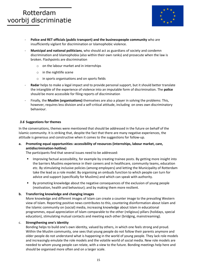

- **Police and RET officials (public transport) and the businesspeople community** who are insufficiently vigilant for discrimination or Islamophobic violence.
- **Municipal and national politicians**, who should act as guardians of society and condemn discrimination and Islamophobia (also within their own ranks) and prosecute when the law is broken. Flashpoints are discrimination
	- $\circ$  on the labour market and in internships
	- o in the nightlife scene
	- o in sports organisations and on sports fields
- **Radar** helps to make a legal impact and to provide personal support, but it should better translate the intangible of the experience of violence into an imputable form of discrimination. The **police** should be more accessible for filing reports of discrimination
- Finally, the **Muslim (organisations)** themselves are also a player in solving the problems: This, however, requires less division and a self-critical attitude, including on ones own discriminatory behaviour.

### *3.6* **Suggestions for themes**

In the conversations, themes were mentioned that should be addressed in the future on behalf of the Islamic community. It is striking that, despite the fact that there are many negative experiences, the attitude is generous and constructive when it comes to the suggestions for follow-up.

## **a. Promoting equal opportunities: accessibility of resources (internships, labour market, care, antidiscrimination-hotline)**

The participants find that several issues need to be addressed:

- Improving factual accessibility, for example by creating trainee posts. By getting more insight into the barriers Muslims experience in their careers and in healthcare, community teams, education etc. By stimulating inclusive policies (among employers) and letting the Municipality of Rotterdam take the lead as a role model. By organising an ombuds function to which people can turn for advice and support (specifically for Muslims) and which can speak with authority.
- By promoting knowledge about the negative consequences of the exclusion of young people (motivation, health and behaviour); and by making them more resilient.

## **b. Transferring knowledge and changing images**

More knowledge and different images of Islam can create a counter image to the prevailing Western view of Islam. Reporting positive news contributes to this, countering disinformation about Islam and the Islamic community on (social) media, increasing knowledge about Islam in educational programmes, equal appreciation of Islam comparable to the other (religious) pillars (holidays, special education), stimulating mutual contacts and meeting each other (bridging, mainstreaming).

### c. **Strengthening one's identity**

Bonding helps to build one's own identity, valued by others, in which one feels strong and proud. Within the Muslim community, one sees that young people do not follow their parents anymore and older people do not understand what is happening in the world of young people. They lack role models and increasingly emulate the role models and the volatile world of social media. New role models are needed to whom young people can relate, with a view to the future. Bonding meetings help here and should be organised more often and on a larger scale.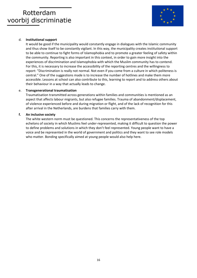

## d. **Institutional support**

It would be good if the municipality would constantly engage in dialogues with the Islamic community and thus show itself to be constantly vigilant. In this way, the municipality creates institutional support to be able to continue to fight forms of Islamophobia and to promote a greater feeling of safety within the community. Reporting is also important in this context, in order to gain more insight into the experiences of discrimination and Islamophobia with which the Muslim community has to contend. For this, it is necessary to increase the accessibility of the reporting centres and the willingness to report: "Discrimination is really not normal. Not even if you come from a culture in which politeness is central." One of the suggestions made is to increase the number of hotlines and make them more accessible. Lessons at school can also contribute to this, learning to report and to address others about their behaviour in a way that actually leads to change.

### e. **Transgenerational traumatisation**

Traumatisation transmitted across generations within families and communities is mentioned as an aspect that affects labour migrants, but also refugee families. Trauma of abandonment/displacement, of violence experienced before and during migration or flight, and of the lack of recognition for this after arrival in the Netherlands, are burdens that families carry with them.

### **f. An inclusive society**

The white western norm must be questioned. This concerns the representativeness of the top echelons of society in which Muslims feel under-represented, making it difficult to question the power to define problems and solutions in which they don't feel represented. Young people want to have a voice and be represented in the world of government and politics and they want to see role models who matter. Bonding specifically aimed at young people would also help here.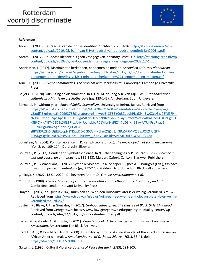

#### **References**

- Abram, I. (2006). Het raadsel van de joodse identiteit. *Stichting Leren*, 1-16. [http://stichtingleren.nl/wp](http://stichtingleren.nl/wp-content/uploads/2019/05/Schijf-van-5-Het-raadsel-van-de-joodse-identiteit-jan2006-1.pdf)[content/uploads/2019/05/Schijf-van-5-Het-raadsel-van-de-joodse-identiteit-jan2006-1.pdf](http://stichtingleren.nl/wp-content/uploads/2019/05/Schijf-van-5-Het-raadsel-van-de-joodse-identiteit-jan2006-1.pdf)
- Abram, I. (2017). De Joodse identiteit is geen vast gegeven. *Stichting Leren*, 1-7. [http://stichtingleren.nl/wp](http://stichtingleren.nl/wp-content/uploads/2019/05/De-Joodse-identiteit-is-geen-vast-gegeven-20dec17-1.pdf)[content/uploads/2019/05/De-Joodse-identiteit-is-geen-vast-gegeven-20dec17-1.pdf](http://stichtingleren.nl/wp-content/uploads/2019/05/De-Joodse-identiteit-is-geen-vast-gegeven-20dec17-1.pdf)
- Andriessen, I. (2017). Discriminatie herkennen, benoemen en melden. *Sociaal en Cultureel Planbureau*. [https://www.scp.nl/binaries/scp/documenten/publicaties/2017/02/09/discriminatie-herkennen](https://www.scp.nl/binaries/scp/documenten/publicaties/2017/02/09/discriminatie-herkennen-benoemen-en-melden/Essay+Discriminatie+-+herkennen%2C+benoemen+en+melden.pdf)[benoemen-en-melden/Essay+Discriminatie+-+herkennen%2C+benoemen+en+melden.pdf](https://www.scp.nl/binaries/scp/documenten/publicaties/2017/02/09/discriminatie-herkennen-benoemen-en-melden/Essay+Discriminatie+-+herkennen%2C+benoemen+en+melden.pdf)
- Arneil, B. (2006). *Diverse communities. The problem with social capital*. Cambridge: Cambridge University Press.
- Beijers, H. (2020). Uitsluiting en discriminatie. In J. T. V. M. de Jong & R. van Dijk (Eds.), *Handboek voor culturele psychiatrie en psychotherapie* (pg. 129-143). Amsterdam: Boom Uitgevers.
- Bornedal, P. (without year). *Edward Said's Orientalism*. University of Beirut. Beirut. Retrieved from [https://d1wqtxts1xzle7.cloudfront.net/44947045/16-04--Presentation--Said-with-cover-page](https://d1wqtxts1xzle7.cloudfront.net/44947045/16-04--Presentation--Said-with-cover-page-v2.pdf?Expires=1642099878&Signature=eZhnwpLB~STBBY0q3ZbeqhPIzxDl4~Bw0XgsGzy0EYdZFHmzN1WlBxcdr9iYqvQqvL0TKXDCuvgA5If7lbUTt2nN8Jxt1xNvJbT4y9PxsouWez2vdDaOncGOsUnCgQTHx3i6-7-xjqYGTy0EDEpX0L3RtazA-b4JocfkJkba7C1VfbnHaRlZ4-7oZGrXjr91vwJsTUKPspRyae5-CRl6vUBgM8DZog~TYdbipj6CArIA0-zBPG33UZlh6fUjtEjRoLpN3YKiqLDZv5G6DzHiK6hmZGjSgBJ~3Ra6FPMvXSBazJOIZNUQt7-4UADgckgslcRzJd7XPNWuHndU24yHhw__&Key-Pair-Id=APKAJLOHF5GGSLRBV4ZA)[v2.pdf?Expires=1642099878&Signature=eZhnwpLB~STBBY0q3ZbeqhPIzxDl4~Bw0XgsGzy0EYdZFHm](https://d1wqtxts1xzle7.cloudfront.net/44947045/16-04--Presentation--Said-with-cover-page-v2.pdf?Expires=1642099878&Signature=eZhnwpLB~STBBY0q3ZbeqhPIzxDl4~Bw0XgsGzy0EYdZFHmzN1WlBxcdr9iYqvQqvL0TKXDCuvgA5If7lbUTt2nN8Jxt1xNvJbT4y9PxsouWez2vdDaOncGOsUnCgQTHx3i6-7-xjqYGTy0EDEpX0L3RtazA-b4JocfkJkba7C1VfbnHaRlZ4-7oZGrXjr91vwJsTUKPspRyae5-CRl6vUBgM8DZog~TYdbipj6CArIA0-zBPG33UZlh6fUjtEjRoLpN3YKiqLDZv5G6DzHiK6hmZGjSgBJ~3Ra6FPMvXSBazJOIZNUQt7-4UADgckgslcRzJd7XPNWuHndU24yHhw__&Key-Pair-Id=APKAJLOHF5GGSLRBV4ZA) [zN1WlBxcdr9iYqvQqvL0TKXDCuvgA5If7lbUTt2nN8Jxt1xNvJbT4y9PxsouWez2vdDaOncGOsUnCgQTH](https://d1wqtxts1xzle7.cloudfront.net/44947045/16-04--Presentation--Said-with-cover-page-v2.pdf?Expires=1642099878&Signature=eZhnwpLB~STBBY0q3ZbeqhPIzxDl4~Bw0XgsGzy0EYdZFHmzN1WlBxcdr9iYqvQqvL0TKXDCuvgA5If7lbUTt2nN8Jxt1xNvJbT4y9PxsouWez2vdDaOncGOsUnCgQTHx3i6-7-xjqYGTy0EDEpX0L3RtazA-b4JocfkJkba7C1VfbnHaRlZ4-7oZGrXjr91vwJsTUKPspRyae5-CRl6vUBgM8DZog~TYdbipj6CArIA0-zBPG33UZlh6fUjtEjRoLpN3YKiqLDZv5G6DzHiK6hmZGjSgBJ~3Ra6FPMvXSBazJOIZNUQt7-4UADgckgslcRzJd7XPNWuHndU24yHhw__&Key-Pair-Id=APKAJLOHF5GGSLRBV4ZA) [x3i6-7-xjqYGTy0EDEpX0L3RtazA-b4JocfkJkba7C1VfbnHaRlZ4-7oZGrXjr91vwJsTUKPspRyae5-](https://d1wqtxts1xzle7.cloudfront.net/44947045/16-04--Presentation--Said-with-cover-page-v2.pdf?Expires=1642099878&Signature=eZhnwpLB~STBBY0q3ZbeqhPIzxDl4~Bw0XgsGzy0EYdZFHmzN1WlBxcdr9iYqvQqvL0TKXDCuvgA5If7lbUTt2nN8Jxt1xNvJbT4y9PxsouWez2vdDaOncGOsUnCgQTHx3i6-7-xjqYGTy0EDEpX0L3RtazA-b4JocfkJkba7C1VfbnHaRlZ4-7oZGrXjr91vwJsTUKPspRyae5-CRl6vUBgM8DZog~TYdbipj6CArIA0-zBPG33UZlh6fUjtEjRoLpN3YKiqLDZv5G6DzHiK6hmZGjSgBJ~3Ra6FPMvXSBazJOIZNUQt7-4UADgckgslcRzJd7XPNWuHndU24yHhw__&Key-Pair-Id=APKAJLOHF5GGSLRBV4ZA) [CRl6vUBgM8DZog~TYdbipj6CArIA0](https://d1wqtxts1xzle7.cloudfront.net/44947045/16-04--Presentation--Said-with-cover-page-v2.pdf?Expires=1642099878&Signature=eZhnwpLB~STBBY0q3ZbeqhPIzxDl4~Bw0XgsGzy0EYdZFHmzN1WlBxcdr9iYqvQqvL0TKXDCuvgA5If7lbUTt2nN8Jxt1xNvJbT4y9PxsouWez2vdDaOncGOsUnCgQTHx3i6-7-xjqYGTy0EDEpX0L3RtazA-b4JocfkJkba7C1VfbnHaRlZ4-7oZGrXjr91vwJsTUKPspRyae5-CRl6vUBgM8DZog~TYdbipj6CArIA0-zBPG33UZlh6fUjtEjRoLpN3YKiqLDZv5G6DzHiK6hmZGjSgBJ~3Ra6FPMvXSBazJOIZNUQt7-4UADgckgslcRzJd7XPNWuHndU24yHhw__&Key-Pair-Id=APKAJLOHF5GGSLRBV4ZA) [zBPG33UZlh6fUjtEjRoLpN3YKiqLDZv5G6DzHiK6hmZGjSgBJ~3Ra6FPMvXSBazJOIZNUQt7-](https://d1wqtxts1xzle7.cloudfront.net/44947045/16-04--Presentation--Said-with-cover-page-v2.pdf?Expires=1642099878&Signature=eZhnwpLB~STBBY0q3ZbeqhPIzxDl4~Bw0XgsGzy0EYdZFHmzN1WlBxcdr9iYqvQqvL0TKXDCuvgA5If7lbUTt2nN8Jxt1xNvJbT4y9PxsouWez2vdDaOncGOsUnCgQTHx3i6-7-xjqYGTy0EDEpX0L3RtazA-b4JocfkJkba7C1VfbnHaRlZ4-7oZGrXjr91vwJsTUKPspRyae5-CRl6vUBgM8DZog~TYdbipj6CArIA0-zBPG33UZlh6fUjtEjRoLpN3YKiqLDZv5G6DzHiK6hmZGjSgBJ~3Ra6FPMvXSBazJOIZNUQt7-4UADgckgslcRzJd7XPNWuHndU24yHhw__&Key-Pair-Id=APKAJLOHF5GGSLRBV4ZA)

[4UADgckgslcRzJd7XPNWuHndU24yHhw\\_\\_&Key-Pair-Id=APKAJLOHF5GGSLRBV4ZA](https://d1wqtxts1xzle7.cloudfront.net/44947045/16-04--Presentation--Said-with-cover-page-v2.pdf?Expires=1642099878&Signature=eZhnwpLB~STBBY0q3ZbeqhPIzxDl4~Bw0XgsGzy0EYdZFHmzN1WlBxcdr9iYqvQqvL0TKXDCuvgA5If7lbUTt2nN8Jxt1xNvJbT4y9PxsouWez2vdDaOncGOsUnCgQTHx3i6-7-xjqYGTy0EDEpX0L3RtazA-b4JocfkJkba7C1VfbnHaRlZ4-7oZGrXjr91vwJsTUKPspRyae5-CRl6vUBgM8DZog~TYdbipj6CArIA0-zBPG33UZlh6fUjtEjRoLpN3YKiqLDZv5G6DzHiK6hmZGjSgBJ~3Ra6FPMvXSBazJOIZNUQt7-4UADgckgslcRzJd7XPNWuHndU24yHhw__&Key-Pair-Id=APKAJLOHF5GGSLRBV4ZA)

- Bornstein, A. (2004). Political violence. In K. Kempf-Leonard (Ed.), *The encyclopedia of social measurement* (Vol. 2, pg. 109-114). Dordrecht: Elsevier.
- Bourdieu, P. (2017). Gender and symbolic violence. In N. Scheper-Hughes & P. Bourgois (Eds.), *Violence in war and peace, an anthology* (pg. 339-343). Malden, Oxford, Carlton: Blackwell Publishers.
- Bourdieu, P., & Wacquant, L. (2017). Symbolic violence. In N. Scheper-Hughes & P. Bourgois (Eds.), *Violence in war and peace, an anthology* (pg. 272-275). Malden, Oxford, Carlton: Blackwell Publishers.
- Çankaya, S. (2022, 13-01-2022). De bevroren Ander. *De Groene Amsterdammer, 146*.
- Clifford, J. (1988). *The predicament of culture. Twentieth-century ethnography, literature , and art*. Cambridge, London: Harvard University Press.
- Drayer, E. (2014, 7 augustus 2014). Ruim een eeuw én een Holocaust later is er weinig veranderd. *Trouw*. Retrieved fro[m https://www.trouw.nl/nieuws/ruim-een-eeuw-en-een-holocaust-later-is-er-weinig](https://www.trouw.nl/nieuws/ruim-een-eeuw-en-een-holocaust-later-is-er-weinig-veranderd~bd8cd6b7/)[veranderd~bd8cd6b7/](https://www.trouw.nl/nieuws/ruim-een-eeuw-en-een-holocaust-later-is-er-weinig-veranderd~bd8cd6b7/)
- Epstein, R., Blake, J. J., & González, T. (2017). *Girlhood Interrupted: The Erasure of Black Girls' Childhood*  Retrieved from Georgetown: https://www.law.georgetown.edu/poverty-inequality-center/wpcontent/uploads/sites/14/2017/08/girlhood-interrupted.pdf
- Esajas, M., Gabriela, A., & Brotto, I. (2021). *Zwart Witboek. Actieonderzoek naar anti-Zwart racisme in Amsterdam*. Amsterdam: The Black Archives.
- Franklin, A. J., & Boyd-Franklin, N. (2000). Invisibility syndrome: A clinical model of the effects of racism on African-American males. *American Journal of Orthopsychiatry,, 70*(1), 33-41. doi: <https://doi.org/10.1037/h0087691>
- Galtung, J. (1990). Cultural Violence. *Journal of Peace Research, 27*(3), 291-305.